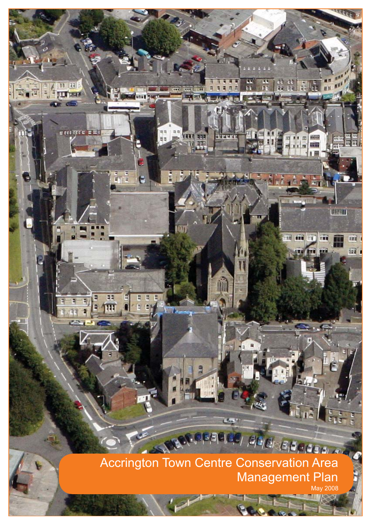## Accrington Town Centre Conservation Area **Management Plan** May 2008

**LEST** 

 $|S|E|C|$ ,  $|S|E|C|$ ,  $|S|E|C|C$ 

33 **JE** 

**ITT bar** 

e ecciepe a

e<br>Elia

m

 $\overline{M}$ E

į

कर्

ΠĒ

11.四

ïθ öm Ħ

**HOOK** 

umu

Ħ

m

m'

m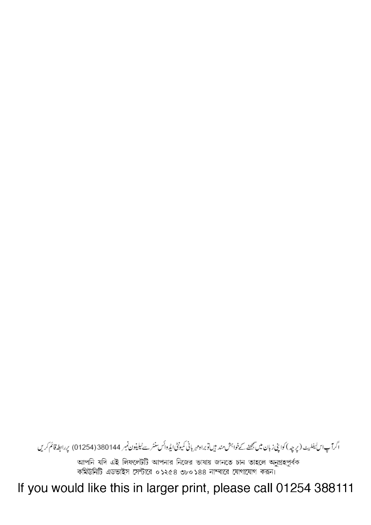If you would like this in larger print, please call 01254 388111

আপনি যদি এই লিফলেটটি আপনার নিজের ভাষায় জানতে চান তাহলে অনুগ্রহপূর্বক কমিউনিটি এডভাইস সেন্টারে ০১২৫৪ ৩৮০১৪৪ নাম্বারে যোগাযোগ করন।

اگرآپاس بفلیٹ (پرچہ) کواپنی زبان میں بھٹے کےخواہش مند ہیں توبراہ مہربانی کمیونٹی ایڈوائس سنٹر سے ٹیلیفون نمبر 380144 (01254) پر ابطہ قائم کریں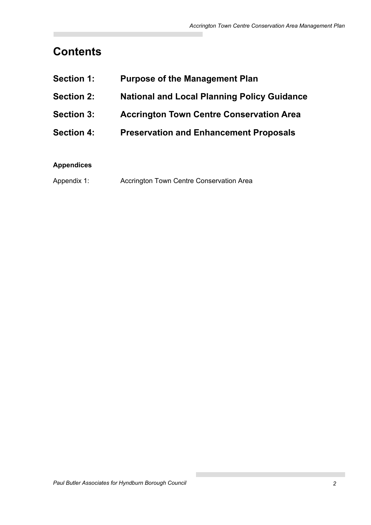# **Contents**

| <b>Section 1:</b> | <b>Purpose of the Management Plan</b>              |
|-------------------|----------------------------------------------------|
| <b>Section 2:</b> | <b>National and Local Planning Policy Guidance</b> |
| <b>Section 3:</b> | <b>Accrington Town Centre Conservation Area</b>    |
| <b>Section 4:</b> | <b>Preservation and Enhancement Proposals</b>      |

## **Appendices**

| Appendix 1: | Accrington Town Centre Conservation Area |
|-------------|------------------------------------------|
|-------------|------------------------------------------|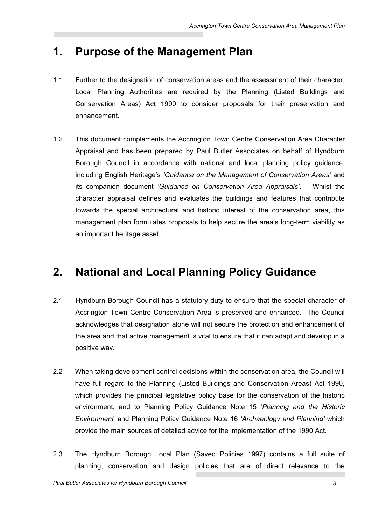## **1. Purpose of the Management Plan**

- 1.1 Further to the designation of conservation areas and the assessment of their character, Local Planning Authorities are required by the Planning (Listed Buildings and Conservation Areas) Act 1990 to consider proposals for their preservation and enhancement.
- 1.2 This document complements the Accrington Town Centre Conservation Area Character Appraisal and has been prepared by Paul Butler Associates on behalf of Hyndburn Borough Council in accordance with national and local planning policy guidance, including English Heritage's *'Guidance on the Management of Conservation Areas'* and its companion document *'Guidance on Conservation Area Appraisals'*. Whilst the character appraisal defines and evaluates the buildings and features that contribute towards the special architectural and historic interest of the conservation area, this management plan formulates proposals to help secure the area's long-term viability as an important heritage asset.

## **2. National and Local Planning Policy Guidance**

- 2.1 Hyndburn Borough Council has a statutory duty to ensure that the special character of Accrington Town Centre Conservation Area is preserved and enhanced. The Council acknowledges that designation alone will not secure the protection and enhancement of the area and that active management is vital to ensure that it can adapt and develop in a positive way.
- 2.2 When taking development control decisions within the conservation area, the Council will have full regard to the Planning (Listed Buildings and Conservation Areas) Act 1990, which provides the principal legislative policy base for the conservation of the historic environment, and to Planning Policy Guidance Note 15 '*Planning and the Historic Environment'* and Planning Policy Guidance Note 16 *'Archaeology and Planning'* which provide the main sources of detailed advice for the implementation of the 1990 Act.
- 2.3 The Hyndburn Borough Local Plan (Saved Policies 1997) contains a full suite of planning, conservation and design policies that are of direct relevance to the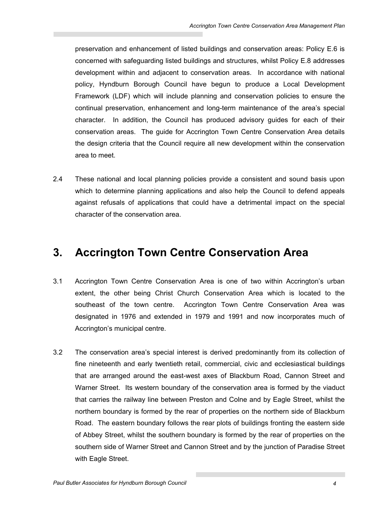preservation and enhancement of listed buildings and conservation areas: Policy E.6 is concerned with safeguarding listed buildings and structures, whilst Policy E.8 addresses development within and adjacent to conservation areas. In accordance with national policy, Hyndburn Borough Council have begun to produce a Local Development Framework (LDF) which will include planning and conservation policies to ensure the continual preservation, enhancement and long-term maintenance of the area's special character. In addition, the Council has produced advisory guides for each of their conservation areas. The guide for Accrington Town Centre Conservation Area details the design criteria that the Council require all new development within the conservation area to meet.

2.4 These national and local planning policies provide a consistent and sound basis upon which to determine planning applications and also help the Council to defend appeals against refusals of applications that could have a detrimental impact on the special character of the conservation area.

## **3. Accrington Town Centre Conservation Area**

- 3.1 Accrington Town Centre Conservation Area is one of two within Accrington's urban extent, the other being Christ Church Conservation Area which is located to the southeast of the town centre. Accrington Town Centre Conservation Area was designated in 1976 and extended in 1979 and 1991 and now incorporates much of Accrington's municipal centre.
- 3.2 The conservation area's special interest is derived predominantly from its collection of fine nineteenth and early twentieth retail, commercial, civic and ecclesiastical buildings that are arranged around the east-west axes of Blackburn Road, Cannon Street and Warner Street. Its western boundary of the conservation area is formed by the viaduct that carries the railway line between Preston and Colne and by Eagle Street, whilst the northern boundary is formed by the rear of properties on the northern side of Blackburn Road. The eastern boundary follows the rear plots of buildings fronting the eastern side of Abbey Street, whilst the southern boundary is formed by the rear of properties on the southern side of Warner Street and Cannon Street and by the junction of Paradise Street with Eagle Street.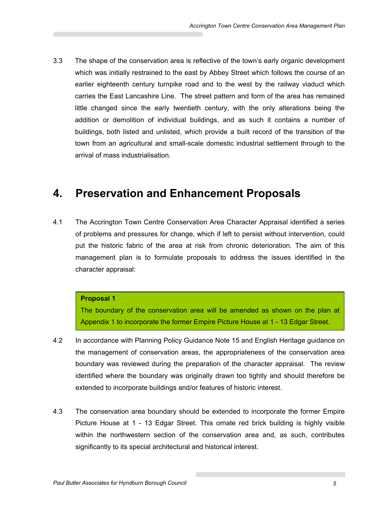3.3 The shape of the conservation area is reflective of the town's early organic development which was initially restrained to the east by Abbey Street which follows the course of an earlier eighteenth century turnpike road and to the west by the railway viaduct which carries the East Lancashire Line. The street pattern and form of the area has remained little changed since the early twentieth century, with the only alterations being the addition or demolition of individual buildings, and as such it contains a number of buildings, both listed and unlisted, which provide a built record of the transition of the town from an agricultural and small-scale domestic industrial settlement through to the arrival of mass industrialisation.

## **4. Preservation and Enhancement Proposals**

4.1 The Accrington Town Centre Conservation Area Character Appraisal identified a series of problems and pressures for change, which if left to persist without intervention, could put the historic fabric of the area at risk from chronic deterioration. The aim of this management plan is to formulate proposals to address the issues identified in the character appraisal:

### **Proposal 1**

The boundary of the conservation area will be amended as shown on the plan at Appendix 1 to incorporate the former Empire Picture House at 1 - 13 Edgar Street.

- 4.2 In accordance with Planning Policy Guidance Note 15 and English Heritage guidance on the management of conservation areas, the appropriateness of the conservation area boundary was reviewed during the preparation of the character appraisal. The review identified where the boundary was originally drawn too tightly and should therefore be extended to incorporate buildings and/or features of historic interest.
- 4.3 The conservation area boundary should be extended to incorporate the former Empire Picture House at 1 - 13 Edgar Street. This ornate red brick building is highly visible within the northwestern section of the conservation area and, as such, contributes significantly to its special architectural and historical interest.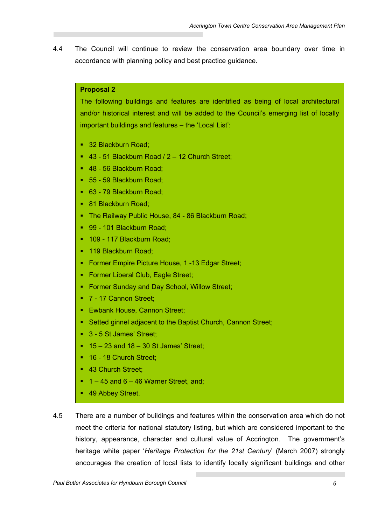4.4 The Council will continue to review the conservation area boundary over time in accordance with planning policy and best practice guidance.

## **Proposal 2**

The following buildings and features are identified as being of local architectural and/or historical interest and will be added to the Council's emerging list of locally important buildings and features – the 'Local List':

- 32 Blackburn Road;
- 43 51 Blackburn Road / 2 12 Church Street;
- 48 56 Blackburn Road;
- 55 59 Blackburn Road;
- 63 79 Blackburn Road;
- 81 Blackburn Road;
- The Railway Public House, 84 86 Blackburn Road;
- 99 101 Blackburn Road;
- <sup>1</sup> 109 117 Blackburn Road;
- 119 Blackburn Road;
- **Former Empire Picture House, 1-13 Edgar Street;**
- **Former Liberal Club, Eagle Street;**
- **Former Sunday and Day School, Willow Street:**
- 7 17 Cannon Street:
- **Ewbank House, Cannon Street;**
- Setted ginnel adjacent to the Baptist Church, Cannon Street;
- 3 5 St James' Street;
- $15 23$  and  $18 30$  St James' Street:
- <sup>16</sup> 18 Church Street;
- 43 Church Street:
- $1 45$  and  $6 46$  Warner Street, and;
- 49 Abbey Street.
- 4.5 There are a number of buildings and features within the conservation area which do not meet the criteria for national statutory listing, but which are considered important to the history, appearance, character and cultural value of Accrington. The government's heritage white paper '*Heritage Protection for the 21st Century*' (March 2007) strongly encourages the creation of local lists to identify locally significant buildings and other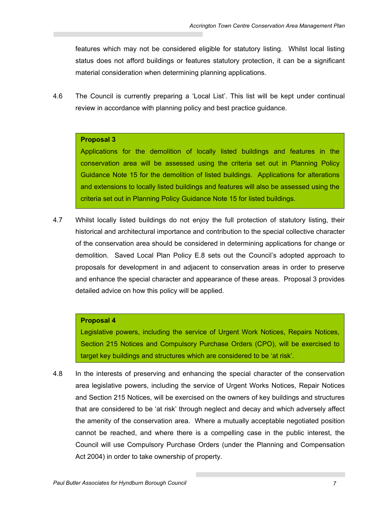features which may not be considered eligible for statutory listing. Whilst local listing status does not afford buildings or features statutory protection, it can be a significant material consideration when determining planning applications.

4.6 The Council is currently preparing a 'Local List'. This list will be kept under continual review in accordance with planning policy and best practice guidance.

#### **Proposal 3**

Applications for the demolition of locally listed buildings and features in the conservation area will be assessed using the criteria set out in Planning Policy Guidance Note 15 for the demolition of listed buildings. Applications for alterations and extensions to locally listed buildings and features will also be assessed using the criteria set out in Planning Policy Guidance Note 15 for listed buildings.

4.7 Whilst locally listed buildings do not enjoy the full protection of statutory listing, their historical and architectural importance and contribution to the special collective character of the conservation area should be considered in determining applications for change or demolition. Saved Local Plan Policy E.8 sets out the Council's adopted approach to proposals for development in and adjacent to conservation areas in order to preserve and enhance the special character and appearance of these areas. Proposal 3 provides detailed advice on how this policy will be applied.

#### **Proposal 4**

Legislative powers, including the service of Urgent Work Notices, Repairs Notices, Section 215 Notices and Compulsory Purchase Orders (CPO), will be exercised to target key buildings and structures which are considered to be 'at risk'.

4.8 In the interests of preserving and enhancing the special character of the conservation area legislative powers, including the service of Urgent Works Notices, Repair Notices and Section 215 Notices, will be exercised on the owners of key buildings and structures that are considered to be 'at risk' through neglect and decay and which adversely affect the amenity of the conservation area. Where a mutually acceptable negotiated position cannot be reached, and where there is a compelling case in the public interest, the Council will use Compulsory Purchase Orders (under the Planning and Compensation Act 2004) in order to take ownership of property.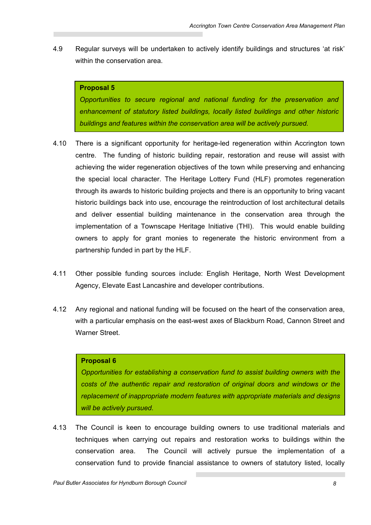4.9 Regular surveys will be undertaken to actively identify buildings and structures 'at risk' within the conservation area.

## **Proposal 5**

*Opportunities to secure regional and national funding for the preservation and enhancement of statutory listed buildings, locally listed buildings and other historic buildings and features within the conservation area will be actively pursued.* 

- 4.10 There is a significant opportunity for heritage-led regeneration within Accrington town centre. The funding of historic building repair, restoration and reuse will assist with achieving the wider regeneration objectives of the town while preserving and enhancing the special local character. The Heritage Lottery Fund (HLF) promotes regeneration through its awards to historic building projects and there is an opportunity to bring vacant historic buildings back into use, encourage the reintroduction of lost architectural details and deliver essential building maintenance in the conservation area through the implementation of a Townscape Heritage Initiative (THI). This would enable building owners to apply for grant monies to regenerate the historic environment from a partnership funded in part by the HLF.
- 4.11 Other possible funding sources include: English Heritage, North West Development Agency, Elevate East Lancashire and developer contributions.
- 4.12 Any regional and national funding will be focused on the heart of the conservation area, with a particular emphasis on the east-west axes of Blackburn Road, Cannon Street and Warner Street

## **Proposal 6**

*Opportunities for establishing a conservation fund to assist building owners with the costs of the authentic repair and restoration of original doors and windows or the replacement of inappropriate modern features with appropriate materials and designs will be actively pursued.* 

4.13 The Council is keen to encourage building owners to use traditional materials and techniques when carrying out repairs and restoration works to buildings within the conservation area. The Council will actively pursue the implementation of a conservation fund to provide financial assistance to owners of statutory listed, locally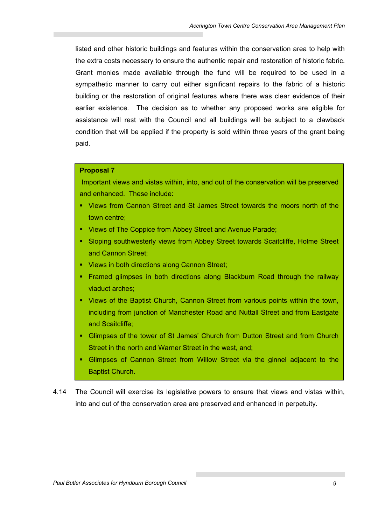listed and other historic buildings and features within the conservation area to help with the extra costs necessary to ensure the authentic repair and restoration of historic fabric. Grant monies made available through the fund will be required to be used in a sympathetic manner to carry out either significant repairs to the fabric of a historic building or the restoration of original features where there was clear evidence of their earlier existence. The decision as to whether any proposed works are eligible for assistance will rest with the Council and all buildings will be subject to a clawback condition that will be applied if the property is sold within three years of the grant being paid.

#### **Proposal 7**

 Important views and vistas within, into, and out of the conservation will be preserved and enhanced. These include:

- Views from Cannon Street and St James Street towards the moors north of the town centre;
- Views of The Coppice from Abbey Street and Avenue Parade;
- **Sloping southwesterly views from Abbey Street towards Scaitcliffe, Holme Street** and Cannon Street;
- **Views in both directions along Cannon Street;**
- Framed glimpses in both directions along Blackburn Road through the railway viaduct arches;
- Views of the Baptist Church, Cannon Street from various points within the town, including from junction of Manchester Road and Nuttall Street and from Eastgate and Scaitcliffe;
- Glimpses of the tower of St James' Church from Dutton Street and from Church Street in the north and Warner Street in the west, and;
- Glimpses of Cannon Street from Willow Street via the ginnel adjacent to the Baptist Church.
- 4.14 The Council will exercise its legislative powers to ensure that views and vistas within, into and out of the conservation area are preserved and enhanced in perpetuity.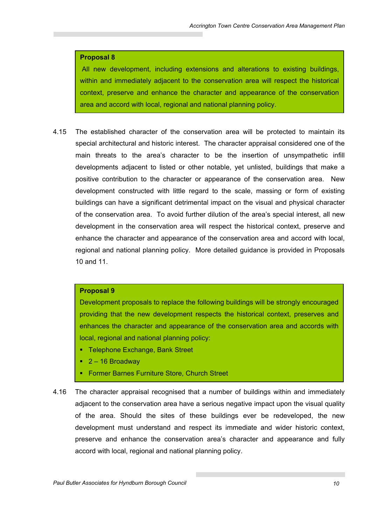#### **Proposal 8**

 All new development, including extensions and alterations to existing buildings, within and immediately adjacent to the conservation area will respect the historical context, preserve and enhance the character and appearance of the conservation area and accord with local, regional and national planning policy.

4.15 The established character of the conservation area will be protected to maintain its special architectural and historic interest. The character appraisal considered one of the main threats to the area's character to be the insertion of unsympathetic infill developments adjacent to listed or other notable, yet unlisted, buildings that make a positive contribution to the character or appearance of the conservation area. New development constructed with little regard to the scale, massing or form of existing buildings can have a significant detrimental impact on the visual and physical character of the conservation area. To avoid further dilution of the area's special interest, all new development in the conservation area will respect the historical context, preserve and enhance the character and appearance of the conservation area and accord with local, regional and national planning policy. More detailed guidance is provided in Proposals 10 and 11.

#### **Proposal 9**

Development proposals to replace the following buildings will be strongly encouraged providing that the new development respects the historical context, preserves and enhances the character and appearance of the conservation area and accords with local, regional and national planning policy:

- **Telephone Exchange, Bank Street**
- $-2 16$  Broadway
- **Former Barnes Furniture Store, Church Street**
- 4.16 The character appraisal recognised that a number of buildings within and immediately adjacent to the conservation area have a serious negative impact upon the visual quality of the area. Should the sites of these buildings ever be redeveloped, the new development must understand and respect its immediate and wider historic context, preserve and enhance the conservation area's character and appearance and fully accord with local, regional and national planning policy.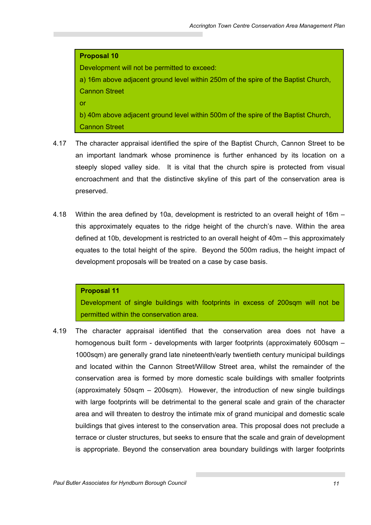### **Proposal 10**

Development will not be permitted to exceed:

a) 16m above adjacent ground level within 250m of the spire of the Baptist Church, Cannon Street

or

b) 40m above adjacent ground level within 500m of the spire of the Baptist Church, Cannon Street

- 4.17 The character appraisal identified the spire of the Baptist Church, Cannon Street to be an important landmark whose prominence is further enhanced by its location on a steeply sloped valley side. It is vital that the church spire is protected from visual encroachment and that the distinctive skyline of this part of the conservation area is preserved.
- 4.18 Within the area defined by 10a, development is restricted to an overall height of 16m this approximately equates to the ridge height of the church's nave. Within the area defined at 10b, development is restricted to an overall height of 40m – this approximately equates to the total height of the spire. Beyond the 500m radius, the height impact of development proposals will be treated on a case by case basis.

### **Proposal 11**

Development of single buildings with footprints in excess of 200sqm will not be permitted within the conservation area.

4.19 The character appraisal identified that the conservation area does not have a homogenous built form - developments with larger footprints (approximately 600sqm – 1000sqm) are generally grand late nineteenth/early twentieth century municipal buildings and located within the Cannon Street/Willow Street area, whilst the remainder of the conservation area is formed by more domestic scale buildings with smaller footprints (approximately 50sqm – 200sqm). However, the introduction of new single buildings with large footprints will be detrimental to the general scale and grain of the character area and will threaten to destroy the intimate mix of grand municipal and domestic scale buildings that gives interest to the conservation area. This proposal does not preclude a terrace or cluster structures, but seeks to ensure that the scale and grain of development is appropriate. Beyond the conservation area boundary buildings with larger footprints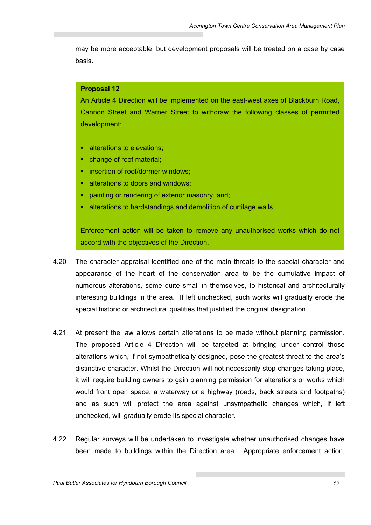may be more acceptable, but development proposals will be treated on a case by case basis.

#### **Proposal 12**

An Article 4 Direction will be implemented on the east-west axes of Blackburn Road, Cannon Street and Warner Street to withdraw the following classes of permitted development:

- **alterations to elevations:**
- change of roof material;
- **EXECUTE:** insertion of roof/dormer windows:
- alterations to doors and windows;
- painting or rendering of exterior masonry, and;
- alterations to hardstandings and demolition of curtilage walls

Enforcement action will be taken to remove any unauthorised works which do not accord with the objectives of the Direction.

- 4.20 The character appraisal identified one of the main threats to the special character and appearance of the heart of the conservation area to be the cumulative impact of numerous alterations, some quite small in themselves, to historical and architecturally interesting buildings in the area. If left unchecked, such works will gradually erode the special historic or architectural qualities that justified the original designation.
- 4.21 At present the law allows certain alterations to be made without planning permission. The proposed Article 4 Direction will be targeted at bringing under control those alterations which, if not sympathetically designed, pose the greatest threat to the area's distinctive character. Whilst the Direction will not necessarily stop changes taking place, it will require building owners to gain planning permission for alterations or works which would front open space, a waterway or a highway (roads, back streets and footpaths) and as such will protect the area against unsympathetic changes which, if left unchecked, will gradually erode its special character.
- 4.22 Regular surveys will be undertaken to investigate whether unauthorised changes have been made to buildings within the Direction area. Appropriate enforcement action,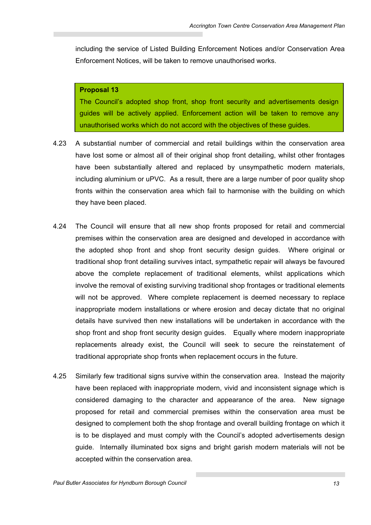including the service of Listed Building Enforcement Notices and/or Conservation Area Enforcement Notices, will be taken to remove unauthorised works.

#### **Proposal 13**

The Council's adopted shop front, shop front security and advertisements design guides will be actively applied. Enforcement action will be taken to remove any unauthorised works which do not accord with the objectives of these guides.

- 4.23 A substantial number of commercial and retail buildings within the conservation area have lost some or almost all of their original shop front detailing, whilst other frontages have been substantially altered and replaced by unsympathetic modern materials, including aluminium or uPVC. As a result, there are a large number of poor quality shop fronts within the conservation area which fail to harmonise with the building on which they have been placed.
- 4.24 The Council will ensure that all new shop fronts proposed for retail and commercial premises within the conservation area are designed and developed in accordance with the adopted shop front and shop front security design guides. Where original or traditional shop front detailing survives intact, sympathetic repair will always be favoured above the complete replacement of traditional elements, whilst applications which involve the removal of existing surviving traditional shop frontages or traditional elements will not be approved. Where complete replacement is deemed necessary to replace inappropriate modern installations or where erosion and decay dictate that no original details have survived then new installations will be undertaken in accordance with the shop front and shop front security design guides. Equally where modern inappropriate replacements already exist, the Council will seek to secure the reinstatement of traditional appropriate shop fronts when replacement occurs in the future.
- 4.25 Similarly few traditional signs survive within the conservation area. Instead the majority have been replaced with inappropriate modern, vivid and inconsistent signage which is considered damaging to the character and appearance of the area. New signage proposed for retail and commercial premises within the conservation area must be designed to complement both the shop frontage and overall building frontage on which it is to be displayed and must comply with the Council's adopted advertisements design guide. Internally illuminated box signs and bright garish modern materials will not be accepted within the conservation area.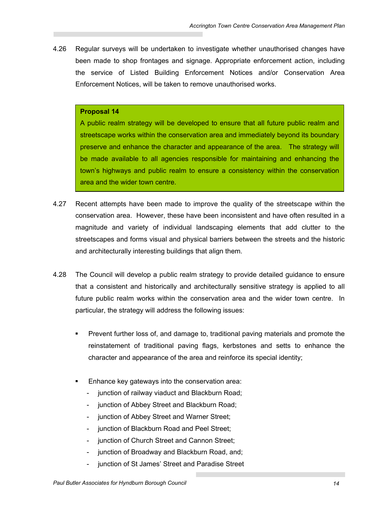4.26 Regular surveys will be undertaken to investigate whether unauthorised changes have been made to shop frontages and signage. Appropriate enforcement action, including the service of Listed Building Enforcement Notices and/or Conservation Area Enforcement Notices, will be taken to remove unauthorised works.

#### **Proposal 14**

A public realm strategy will be developed to ensure that all future public realm and streetscape works within the conservation area and immediately beyond its boundary preserve and enhance the character and appearance of the area. The strategy will be made available to all agencies responsible for maintaining and enhancing the town's highways and public realm to ensure a consistency within the conservation area and the wider town centre.

- 4.27 Recent attempts have been made to improve the quality of the streetscape within the conservation area. However, these have been inconsistent and have often resulted in a magnitude and variety of individual landscaping elements that add clutter to the streetscapes and forms visual and physical barriers between the streets and the historic and architecturally interesting buildings that align them.
- 4.28 The Council will develop a public realm strategy to provide detailed guidance to ensure that a consistent and historically and architecturally sensitive strategy is applied to all future public realm works within the conservation area and the wider town centre. In particular, the strategy will address the following issues:
	- **Prevent further loss of, and damage to, traditional paving materials and promote the** reinstatement of traditional paving flags, kerbstones and setts to enhance the character and appearance of the area and reinforce its special identity;
	- Enhance key gateways into the conservation area:
		- junction of railway viaduct and Blackburn Road;
		- junction of Abbey Street and Blackburn Road;
		- junction of Abbey Street and Warner Street;
		- iunction of Blackburn Road and Peel Street:
		- junction of Church Street and Cannon Street;
		- junction of Broadway and Blackburn Road, and;
		- junction of St James' Street and Paradise Street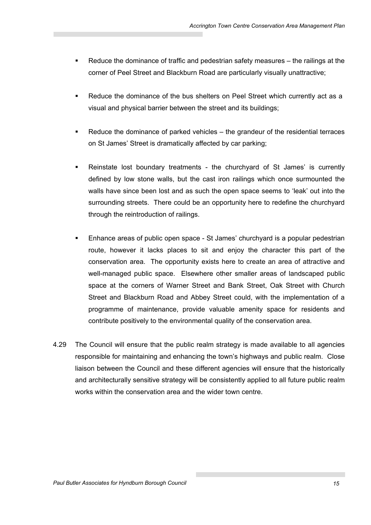- Reduce the dominance of traffic and pedestrian safety measures the railings at the corner of Peel Street and Blackburn Road are particularly visually unattractive;
- Reduce the dominance of the bus shelters on Peel Street which currently act as a visual and physical barrier between the street and its buildings;
- Reduce the dominance of parked vehicles the grandeur of the residential terraces on St James' Street is dramatically affected by car parking;
- Reinstate lost boundary treatments the churchyard of St James' is currently defined by low stone walls, but the cast iron railings which once surmounted the walls have since been lost and as such the open space seems to 'leak' out into the surrounding streets. There could be an opportunity here to redefine the churchyard through the reintroduction of railings.
- Enhance areas of public open space St James' churchyard is a popular pedestrian route, however it lacks places to sit and enjoy the character this part of the conservation area. The opportunity exists here to create an area of attractive and well-managed public space. Elsewhere other smaller areas of landscaped public space at the corners of Warner Street and Bank Street, Oak Street with Church Street and Blackburn Road and Abbey Street could, with the implementation of a programme of maintenance, provide valuable amenity space for residents and contribute positively to the environmental quality of the conservation area.
- 4.29 The Council will ensure that the public realm strategy is made available to all agencies responsible for maintaining and enhancing the town's highways and public realm. Close liaison between the Council and these different agencies will ensure that the historically and architecturally sensitive strategy will be consistently applied to all future public realm works within the conservation area and the wider town centre.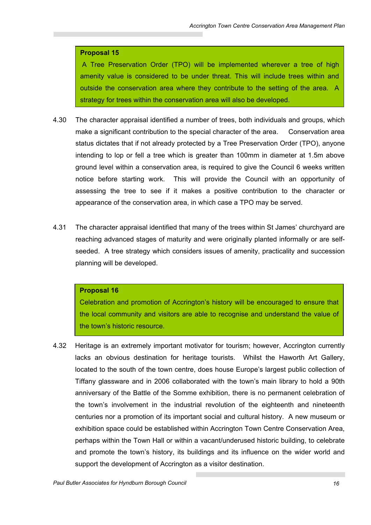### **Proposal 15**

 A Tree Preservation Order (TPO) will be implemented wherever a tree of high amenity value is considered to be under threat. This will include trees within and outside the conservation area where they contribute to the setting of the area. A strategy for trees within the conservation area will also be developed.

- 4.30 The character appraisal identified a number of trees, both individuals and groups, which make a significant contribution to the special character of the area. Conservation area status dictates that if not already protected by a Tree Preservation Order (TPO), anyone intending to lop or fell a tree which is greater than 100mm in diameter at 1.5m above ground level within a conservation area, is required to give the Council 6 weeks written notice before starting work. This will provide the Council with an opportunity of assessing the tree to see if it makes a positive contribution to the character or appearance of the conservation area, in which case a TPO may be served.
- 4.31 The character appraisal identified that many of the trees within St James' churchyard are reaching advanced stages of maturity and were originally planted informally or are selfseeded. A tree strategy which considers issues of amenity, practicality and succession planning will be developed.

### **Proposal 16**

Celebration and promotion of Accrington's history will be encouraged to ensure that the local community and visitors are able to recognise and understand the value of the town's historic resource.

4.32 Heritage is an extremely important motivator for tourism; however, Accrington currently lacks an obvious destination for heritage tourists. Whilst the Haworth Art Gallery, located to the south of the town centre, does house Europe's largest public collection of Tiffany glassware and in 2006 collaborated with the town's main library to hold a 90th anniversary of the Battle of the Somme exhibition, there is no permanent celebration of the town's involvement in the industrial revolution of the eighteenth and nineteenth centuries nor a promotion of its important social and cultural history. A new museum or exhibition space could be established within Accrington Town Centre Conservation Area, perhaps within the Town Hall or within a vacant/underused historic building, to celebrate and promote the town's history, its buildings and its influence on the wider world and support the development of Accrington as a visitor destination.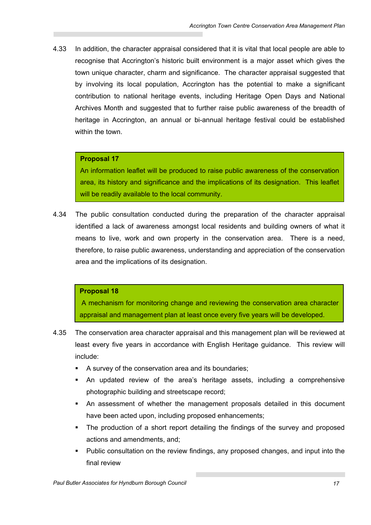4.33 In addition, the character appraisal considered that it is vital that local people are able to recognise that Accrington's historic built environment is a major asset which gives the town unique character, charm and significance. The character appraisal suggested that by involving its local population, Accrington has the potential to make a significant contribution to national heritage events, including Heritage Open Days and National Archives Month and suggested that to further raise public awareness of the breadth of heritage in Accrington, an annual or bi-annual heritage festival could be established within the town.

## **Proposal 17**

An information leaflet will be produced to raise public awareness of the conservation area, its history and significance and the implications of its designation. This leaflet will be readily available to the local community.

4.34 The public consultation conducted during the preparation of the character appraisal identified a lack of awareness amongst local residents and building owners of what it means to live, work and own property in the conservation area. There is a need, therefore, to raise public awareness, understanding and appreciation of the conservation area and the implications of its designation.

## **Proposal 18**

 A mechanism for monitoring change and reviewing the conservation area character appraisal and management plan at least once every five years will be developed.

- 4.35 The conservation area character appraisal and this management plan will be reviewed at least every five years in accordance with English Heritage guidance. This review will include:
	- A survey of the conservation area and its boundaries;
	- An updated review of the area's heritage assets, including a comprehensive photographic building and streetscape record;
	- An assessment of whether the management proposals detailed in this document have been acted upon, including proposed enhancements;
	- The production of a short report detailing the findings of the survey and proposed actions and amendments, and;
	- Public consultation on the review findings, any proposed changes, and input into the final review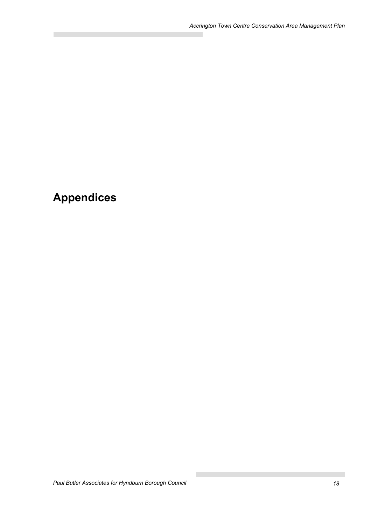# **Appendices**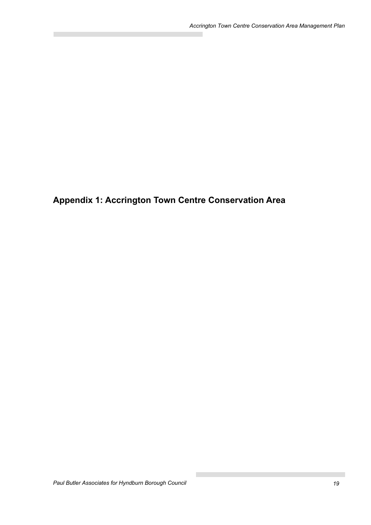**Appendix 1: Accrington Town Centre Conservation Area**